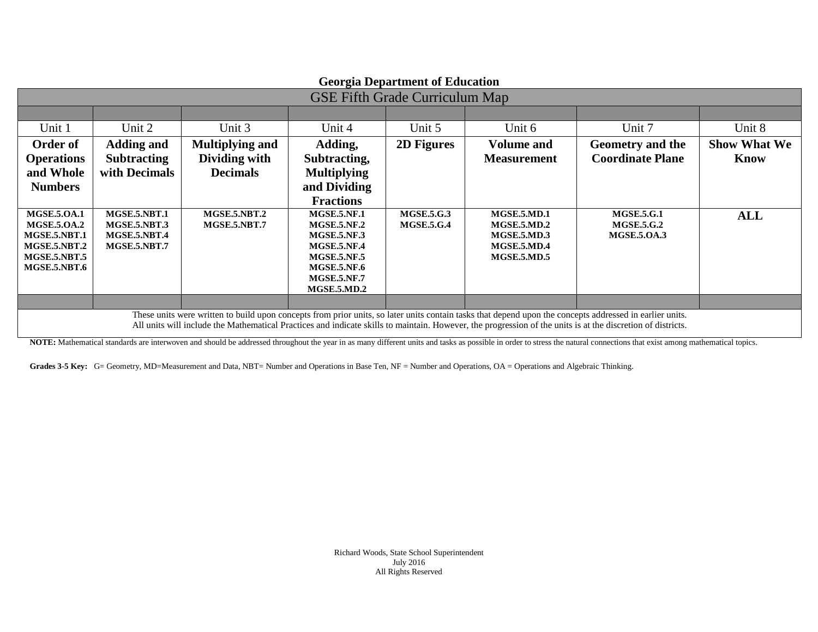| <b>Georgia Department of Education</b>                                                                                                                                                                                                                                                                                  |                              |                        |                                          |                   |                                   |                         |                     |
|-------------------------------------------------------------------------------------------------------------------------------------------------------------------------------------------------------------------------------------------------------------------------------------------------------------------------|------------------------------|------------------------|------------------------------------------|-------------------|-----------------------------------|-------------------------|---------------------|
| <b>GSE Fifth Grade Curriculum Map</b>                                                                                                                                                                                                                                                                                   |                              |                        |                                          |                   |                                   |                         |                     |
|                                                                                                                                                                                                                                                                                                                         |                              |                        |                                          |                   |                                   |                         |                     |
| Unit 1                                                                                                                                                                                                                                                                                                                  | Unit 2                       | Unit 3                 | Unit 4                                   | Unit 5            | Unit 6                            | Unit 7                  | Unit 8              |
| Order of                                                                                                                                                                                                                                                                                                                | <b>Adding and</b>            | <b>Multiplying and</b> | Adding,                                  | 2D Figures        | <b>Volume and</b>                 | Geometry and the        | <b>Show What We</b> |
| <b>Operations</b>                                                                                                                                                                                                                                                                                                       | <b>Subtracting</b>           | Dividing with          | Subtracting,                             |                   | <b>Measurement</b>                | <b>Coordinate Plane</b> | <b>Know</b>         |
| and Whole                                                                                                                                                                                                                                                                                                               | with Decimals                | <b>Decimals</b>        | <b>Multiplying</b>                       |                   |                                   |                         |                     |
| <b>Numbers</b>                                                                                                                                                                                                                                                                                                          |                              |                        | and Dividing                             |                   |                                   |                         |                     |
|                                                                                                                                                                                                                                                                                                                         |                              |                        | <b>Fractions</b>                         |                   |                                   |                         |                     |
| <b>MGSE.5.0A.1</b>                                                                                                                                                                                                                                                                                                      | MGSE.5.NBT.1                 | MGSE.5.NBT.2           | <b>MGSE.5.NF.1</b>                       | <b>MGSE.5.G.3</b> | <b>MGSE.5.MD.1</b>                | <b>MGSE.5.G.1</b>       | <b>ALL</b>          |
| <b>MGSE.5.0A.2</b>                                                                                                                                                                                                                                                                                                      | MGSE.5.NBT.3                 | MGSE.5.NBT.7           | <b>MGSE.5.NF.2</b>                       | <b>MGSE.5.G.4</b> | MGSE.5MD.2                        | <b>MGSE.5.G.2</b>       |                     |
| MGSE.5.NBT.1<br>MGSE.5.NBT.2                                                                                                                                                                                                                                                                                            | MGSE.5.NBT.4<br>MGSE.5.NBT.7 |                        | <b>MGSE.5.NF.3</b><br><b>MGSE.5.NF.4</b> |                   | <b>MGSE.5.MD.3</b><br>MGSE.5.MD.4 | <b>MGSE.5.OA.3</b>      |                     |
| <b>MGSE.5.NBT.5</b>                                                                                                                                                                                                                                                                                                     |                              |                        | <b>MGSE.5.NF.5</b>                       |                   | <b>MGSE.5.MD.5</b>                |                         |                     |
| <b>MGSE.5.NBT.6</b>                                                                                                                                                                                                                                                                                                     |                              |                        | <b>MGSE.5.NF.6</b>                       |                   |                                   |                         |                     |
|                                                                                                                                                                                                                                                                                                                         |                              |                        | <b>MGSE.5.NF.7</b>                       |                   |                                   |                         |                     |
|                                                                                                                                                                                                                                                                                                                         |                              |                        | <b>MGSE.5.MD.2</b>                       |                   |                                   |                         |                     |
|                                                                                                                                                                                                                                                                                                                         |                              |                        |                                          |                   |                                   |                         |                     |
| These units were written to build upon concepts from prior units, so later units contain tasks that depend upon the concepts addressed in earlier units.<br>All units will include the Mathematical Practices and indicate skills to maintain. However, the progression of the units is at the discretion of districts. |                              |                        |                                          |                   |                                   |                         |                     |

NOTE: Mathematical standards are interwoven and should be addressed throughout the year in as many different units and tasks as possible in order to stress the natural connections that exist among mathematical topics.

Grades 3-5 Key: G= Geometry, MD=Measurement and Data, NBT= Number and Operations in Base Ten, NF = Number and Operations, OA = Operations and Algebraic Thinking.

Richard Woods, State School Superintendent July 2016 All Rights Reserved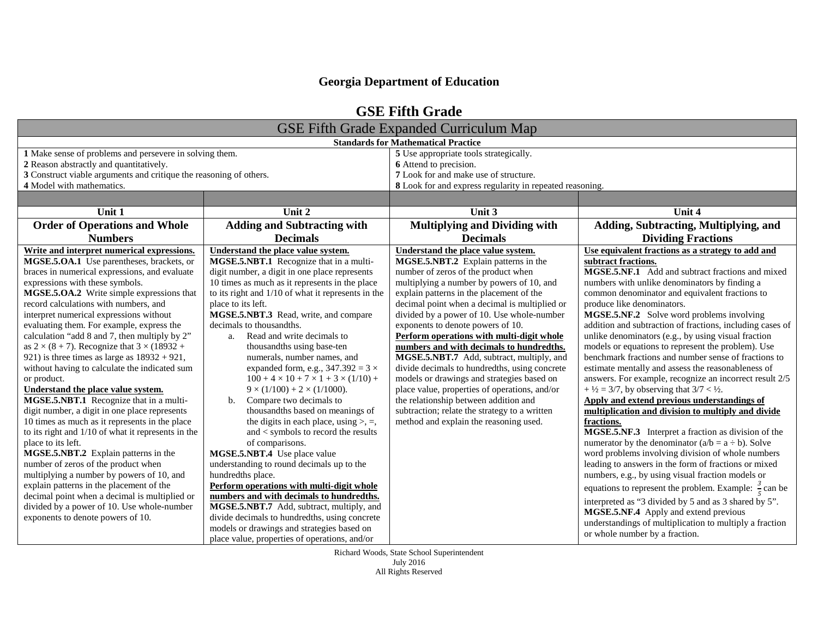| <b>GSE Fifth Grade</b>                                                                                                                                                                                                                                                                                                                                                                                                                                                                                                                                                                                                                                                                                                                                                                                                                                                                                                                                                                  |                                                                                                                                                                                                                                                                                                                                                                                                                                                                                                                                                                                                                                                                                                                                                                                                                                                                  |                                                                                                                                                                                                                                                                                                                                                                                                                                                                                                                                                                                                                                                                                                                                                                          |                                                                                                                                                                                                                                                                                                                                                                                                                                                                                                                                                                                                                                                                                                                                                                                                                                                                                                                                                                                                                                                                                                                                        |  |  |  |
|-----------------------------------------------------------------------------------------------------------------------------------------------------------------------------------------------------------------------------------------------------------------------------------------------------------------------------------------------------------------------------------------------------------------------------------------------------------------------------------------------------------------------------------------------------------------------------------------------------------------------------------------------------------------------------------------------------------------------------------------------------------------------------------------------------------------------------------------------------------------------------------------------------------------------------------------------------------------------------------------|------------------------------------------------------------------------------------------------------------------------------------------------------------------------------------------------------------------------------------------------------------------------------------------------------------------------------------------------------------------------------------------------------------------------------------------------------------------------------------------------------------------------------------------------------------------------------------------------------------------------------------------------------------------------------------------------------------------------------------------------------------------------------------------------------------------------------------------------------------------|--------------------------------------------------------------------------------------------------------------------------------------------------------------------------------------------------------------------------------------------------------------------------------------------------------------------------------------------------------------------------------------------------------------------------------------------------------------------------------------------------------------------------------------------------------------------------------------------------------------------------------------------------------------------------------------------------------------------------------------------------------------------------|----------------------------------------------------------------------------------------------------------------------------------------------------------------------------------------------------------------------------------------------------------------------------------------------------------------------------------------------------------------------------------------------------------------------------------------------------------------------------------------------------------------------------------------------------------------------------------------------------------------------------------------------------------------------------------------------------------------------------------------------------------------------------------------------------------------------------------------------------------------------------------------------------------------------------------------------------------------------------------------------------------------------------------------------------------------------------------------------------------------------------------------|--|--|--|
| <b>GSE Fifth Grade Expanded Curriculum Map</b>                                                                                                                                                                                                                                                                                                                                                                                                                                                                                                                                                                                                                                                                                                                                                                                                                                                                                                                                          |                                                                                                                                                                                                                                                                                                                                                                                                                                                                                                                                                                                                                                                                                                                                                                                                                                                                  |                                                                                                                                                                                                                                                                                                                                                                                                                                                                                                                                                                                                                                                                                                                                                                          |                                                                                                                                                                                                                                                                                                                                                                                                                                                                                                                                                                                                                                                                                                                                                                                                                                                                                                                                                                                                                                                                                                                                        |  |  |  |
|                                                                                                                                                                                                                                                                                                                                                                                                                                                                                                                                                                                                                                                                                                                                                                                                                                                                                                                                                                                         | <b>Standards for Mathematical Practice</b>                                                                                                                                                                                                                                                                                                                                                                                                                                                                                                                                                                                                                                                                                                                                                                                                                       |                                                                                                                                                                                                                                                                                                                                                                                                                                                                                                                                                                                                                                                                                                                                                                          |                                                                                                                                                                                                                                                                                                                                                                                                                                                                                                                                                                                                                                                                                                                                                                                                                                                                                                                                                                                                                                                                                                                                        |  |  |  |
| 1 Make sense of problems and persevere in solving them.                                                                                                                                                                                                                                                                                                                                                                                                                                                                                                                                                                                                                                                                                                                                                                                                                                                                                                                                 |                                                                                                                                                                                                                                                                                                                                                                                                                                                                                                                                                                                                                                                                                                                                                                                                                                                                  | 5 Use appropriate tools strategically.                                                                                                                                                                                                                                                                                                                                                                                                                                                                                                                                                                                                                                                                                                                                   |                                                                                                                                                                                                                                                                                                                                                                                                                                                                                                                                                                                                                                                                                                                                                                                                                                                                                                                                                                                                                                                                                                                                        |  |  |  |
| 2 Reason abstractly and quantitatively.                                                                                                                                                                                                                                                                                                                                                                                                                                                                                                                                                                                                                                                                                                                                                                                                                                                                                                                                                 |                                                                                                                                                                                                                                                                                                                                                                                                                                                                                                                                                                                                                                                                                                                                                                                                                                                                  | 6 Attend to precision.                                                                                                                                                                                                                                                                                                                                                                                                                                                                                                                                                                                                                                                                                                                                                   |                                                                                                                                                                                                                                                                                                                                                                                                                                                                                                                                                                                                                                                                                                                                                                                                                                                                                                                                                                                                                                                                                                                                        |  |  |  |
| 3 Construct viable arguments and critique the reasoning of others.                                                                                                                                                                                                                                                                                                                                                                                                                                                                                                                                                                                                                                                                                                                                                                                                                                                                                                                      |                                                                                                                                                                                                                                                                                                                                                                                                                                                                                                                                                                                                                                                                                                                                                                                                                                                                  | 7 Look for and make use of structure.                                                                                                                                                                                                                                                                                                                                                                                                                                                                                                                                                                                                                                                                                                                                    |                                                                                                                                                                                                                                                                                                                                                                                                                                                                                                                                                                                                                                                                                                                                                                                                                                                                                                                                                                                                                                                                                                                                        |  |  |  |
| 4 Model with mathematics.                                                                                                                                                                                                                                                                                                                                                                                                                                                                                                                                                                                                                                                                                                                                                                                                                                                                                                                                                               |                                                                                                                                                                                                                                                                                                                                                                                                                                                                                                                                                                                                                                                                                                                                                                                                                                                                  | 8 Look for and express regularity in repeated reasoning.                                                                                                                                                                                                                                                                                                                                                                                                                                                                                                                                                                                                                                                                                                                 |                                                                                                                                                                                                                                                                                                                                                                                                                                                                                                                                                                                                                                                                                                                                                                                                                                                                                                                                                                                                                                                                                                                                        |  |  |  |
|                                                                                                                                                                                                                                                                                                                                                                                                                                                                                                                                                                                                                                                                                                                                                                                                                                                                                                                                                                                         |                                                                                                                                                                                                                                                                                                                                                                                                                                                                                                                                                                                                                                                                                                                                                                                                                                                                  |                                                                                                                                                                                                                                                                                                                                                                                                                                                                                                                                                                                                                                                                                                                                                                          |                                                                                                                                                                                                                                                                                                                                                                                                                                                                                                                                                                                                                                                                                                                                                                                                                                                                                                                                                                                                                                                                                                                                        |  |  |  |
| Unit 1                                                                                                                                                                                                                                                                                                                                                                                                                                                                                                                                                                                                                                                                                                                                                                                                                                                                                                                                                                                  | Unit $2$                                                                                                                                                                                                                                                                                                                                                                                                                                                                                                                                                                                                                                                                                                                                                                                                                                                         | Unit 3                                                                                                                                                                                                                                                                                                                                                                                                                                                                                                                                                                                                                                                                                                                                                                   | Unit 4                                                                                                                                                                                                                                                                                                                                                                                                                                                                                                                                                                                                                                                                                                                                                                                                                                                                                                                                                                                                                                                                                                                                 |  |  |  |
| <b>Order of Operations and Whole</b>                                                                                                                                                                                                                                                                                                                                                                                                                                                                                                                                                                                                                                                                                                                                                                                                                                                                                                                                                    | <b>Adding and Subtracting with</b>                                                                                                                                                                                                                                                                                                                                                                                                                                                                                                                                                                                                                                                                                                                                                                                                                               | <b>Multiplying and Dividing with</b>                                                                                                                                                                                                                                                                                                                                                                                                                                                                                                                                                                                                                                                                                                                                     | <b>Adding, Subtracting, Multiplying, and</b>                                                                                                                                                                                                                                                                                                                                                                                                                                                                                                                                                                                                                                                                                                                                                                                                                                                                                                                                                                                                                                                                                           |  |  |  |
| <b>Numbers</b>                                                                                                                                                                                                                                                                                                                                                                                                                                                                                                                                                                                                                                                                                                                                                                                                                                                                                                                                                                          | <b>Decimals</b>                                                                                                                                                                                                                                                                                                                                                                                                                                                                                                                                                                                                                                                                                                                                                                                                                                                  | <b>Decimals</b>                                                                                                                                                                                                                                                                                                                                                                                                                                                                                                                                                                                                                                                                                                                                                          | <b>Dividing Fractions</b>                                                                                                                                                                                                                                                                                                                                                                                                                                                                                                                                                                                                                                                                                                                                                                                                                                                                                                                                                                                                                                                                                                              |  |  |  |
| Write and interpret numerical expressions.<br>MGSE.5.OA.1 Use parentheses, brackets, or<br>braces in numerical expressions, and evaluate<br>expressions with these symbols.<br>MGSE.5.OA.2 Write simple expressions that<br>record calculations with numbers, and<br>interpret numerical expressions without<br>evaluating them. For example, express the<br>calculation "add 8 and 7, then multiply by 2"<br>as $2 \times (8 + 7)$ . Recognize that $3 \times (18932 +$<br>921) is three times as large as $18932 + 921$ ,<br>without having to calculate the indicated sum<br>or product.<br>Understand the place value system.<br>MGSE.5.NBT.1 Recognize that in a multi-<br>digit number, a digit in one place represents<br>10 times as much as it represents in the place<br>to its right and 1/10 of what it represents in the<br>place to its left.<br>MGSE.5.NBT.2 Explain patterns in the<br>number of zeros of the product when<br>multiplying a number by powers of 10, and | Understand the place value system.<br>MGSE.5.NBT.1 Recognize that in a multi-<br>digit number, a digit in one place represents<br>10 times as much as it represents in the place<br>to its right and 1/10 of what it represents in the<br>place to its left.<br>MGSE.5.NBT.3 Read, write, and compare<br>decimals to thousandths.<br>a. Read and write decimals to<br>thousandths using base-ten<br>numerals, number names, and<br>expanded form, e.g., $347.392 = 3 \times$<br>$100 + 4 \times 10 + 7 \times 1 + 3 \times (1/10) +$<br>$9 \times (1/100) + 2 \times (1/1000)$ .<br>Compare two decimals to<br>b.<br>thousandths based on meanings of<br>the digits in each place, using $>$ , $=$ ,<br>and < symbols to record the results<br>of comparisons.<br>MGSE.5.NBT.4 Use place value<br>understanding to round decimals up to the<br>hundredths place. | Understand the place value system.<br>MGSE.5.NBT.2 Explain patterns in the<br>number of zeros of the product when<br>multiplying a number by powers of 10, and<br>explain patterns in the placement of the<br>decimal point when a decimal is multiplied or<br>divided by a power of 10. Use whole-number<br>exponents to denote powers of 10.<br>Perform operations with multi-digit whole<br>numbers and with decimals to hundredths.<br>MGSE.5.NBT.7 Add, subtract, multiply, and<br>divide decimals to hundredths, using concrete<br>models or drawings and strategies based on<br>place value, properties of operations, and/or<br>the relationship between addition and<br>subtraction; relate the strategy to a written<br>method and explain the reasoning used. | Use equivalent fractions as a strategy to add and<br>subtract fractions.<br>MGSE.5.NF.1 Add and subtract fractions and mixed<br>numbers with unlike denominators by finding a<br>common denominator and equivalent fractions to<br>produce like denominators.<br>MGSE.5.NF.2 Solve word problems involving<br>addition and subtraction of fractions, including cases of<br>unlike denominators (e.g., by using visual fraction<br>models or equations to represent the problem). Use<br>benchmark fractions and number sense of fractions to<br>estimate mentally and assess the reasonableness of<br>answers. For example, recognize an incorrect result 2/5<br>+ $\frac{1}{2}$ = 3/7, by observing that 3/7 < $\frac{1}{2}$ .<br>Apply and extend previous understandings of<br>multiplication and division to multiply and divide<br>fractions.<br>MGSE.5.NF.3 Interpret a fraction as division of the<br>numerator by the denominator $(a/b = a \div b)$ . Solve<br>word problems involving division of whole numbers<br>leading to answers in the form of fractions or mixed<br>numbers, e.g., by using visual fraction models or |  |  |  |
| explain patterns in the placement of the<br>decimal point when a decimal is multiplied or<br>divided by a power of 10. Use whole-number<br>exponents to denote powers of 10.                                                                                                                                                                                                                                                                                                                                                                                                                                                                                                                                                                                                                                                                                                                                                                                                            | Perform operations with multi-digit whole<br>numbers and with decimals to hundredths.<br>MGSE.5.NBT.7 Add, subtract, multiply, and<br>divide decimals to hundredths, using concrete<br>models or drawings and strategies based on<br>place value, properties of operations, and/or                                                                                                                                                                                                                                                                                                                                                                                                                                                                                                                                                                               |                                                                                                                                                                                                                                                                                                                                                                                                                                                                                                                                                                                                                                                                                                                                                                          | equations to represent the problem. Example: $\frac{3}{5}$ can be<br>interpreted as "3 divided by 5 and as 3 shared by 5".<br>MGSE.5.NF.4 Apply and extend previous<br>understandings of multiplication to multiply a fraction<br>or whole number by a fraction.                                                                                                                                                                                                                                                                                                                                                                                                                                                                                                                                                                                                                                                                                                                                                                                                                                                                       |  |  |  |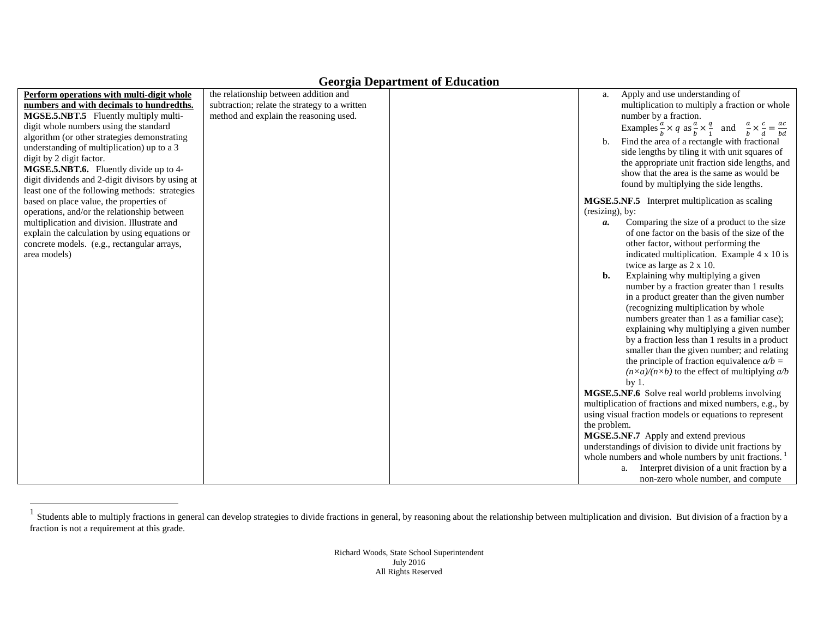<span id="page-2-0"></span>

|                                                  |                                               | ocorgus <i>D</i> cparament or Buddenbron |                 |                                                                                                                          |
|--------------------------------------------------|-----------------------------------------------|------------------------------------------|-----------------|--------------------------------------------------------------------------------------------------------------------------|
| Perform operations with multi-digit whole        | the relationship between addition and         |                                          | a.              | Apply and use understanding of                                                                                           |
| numbers and with decimals to hundredths.         | subtraction; relate the strategy to a written |                                          |                 | multiplication to multiply a fraction or whole                                                                           |
| MGSE.5.NBT.5 Fluently multiply multi-            | method and explain the reasoning used.        |                                          |                 | number by a fraction.                                                                                                    |
| digit whole numbers using the standard           |                                               |                                          |                 | Examples $\frac{a}{b} \times q$ as $\frac{a}{b} \times \frac{q}{1}$ and $\frac{a}{b} \times \frac{c}{d} = \frac{ac}{bd}$ |
| algorithm (or other strategies demonstrating     |                                               |                                          | b.              | Find the area of a rectangle with fractional                                                                             |
| understanding of multiplication) up to a 3       |                                               |                                          |                 | side lengths by tiling it with unit squares of                                                                           |
| digit by 2 digit factor.                         |                                               |                                          |                 | the appropriate unit fraction side lengths, and                                                                          |
| MGSE.5.NBT.6. Fluently divide up to 4-           |                                               |                                          |                 | show that the area is the same as would be                                                                               |
| digit dividends and 2-digit divisors by using at |                                               |                                          |                 | found by multiplying the side lengths.                                                                                   |
| least one of the following methods: strategies   |                                               |                                          |                 |                                                                                                                          |
| based on place value, the properties of          |                                               |                                          |                 | MGSE.5.NF.5 Interpret multiplication as scaling                                                                          |
| operations, and/or the relationship between      |                                               |                                          | (resizing), by: |                                                                                                                          |
| multiplication and division. Illustrate and      |                                               |                                          | a.              | Comparing the size of a product to the size                                                                              |
| explain the calculation by using equations or    |                                               |                                          |                 | of one factor on the basis of the size of the                                                                            |
| concrete models. (e.g., rectangular arrays,      |                                               |                                          |                 | other factor, without performing the                                                                                     |
| area models)                                     |                                               |                                          |                 | indicated multiplication. Example 4 x 10 is                                                                              |
|                                                  |                                               |                                          | b.              | twice as large as 2 x 10.                                                                                                |
|                                                  |                                               |                                          |                 | Explaining why multiplying a given<br>number by a fraction greater than 1 results                                        |
|                                                  |                                               |                                          |                 | in a product greater than the given number                                                                               |
|                                                  |                                               |                                          |                 |                                                                                                                          |
|                                                  |                                               |                                          |                 | (recognizing multiplication by whole<br>numbers greater than 1 as a familiar case);                                      |
|                                                  |                                               |                                          |                 | explaining why multiplying a given number                                                                                |
|                                                  |                                               |                                          |                 | by a fraction less than 1 results in a product                                                                           |
|                                                  |                                               |                                          |                 | smaller than the given number; and relating                                                                              |
|                                                  |                                               |                                          |                 | the principle of fraction equivalence $a/b =$                                                                            |
|                                                  |                                               |                                          |                 | $(n \times a)/(n \times b)$ to the effect of multiplying $a/b$                                                           |
|                                                  |                                               |                                          |                 | by <sub>1</sub>                                                                                                          |
|                                                  |                                               |                                          |                 | MGSE.5.NF.6 Solve real world problems involving                                                                          |
|                                                  |                                               |                                          |                 | multiplication of fractions and mixed numbers, e.g., by                                                                  |
|                                                  |                                               |                                          |                 | using visual fraction models or equations to represent                                                                   |
|                                                  |                                               |                                          | the problem.    |                                                                                                                          |
|                                                  |                                               |                                          |                 | MGSE.5.NF.7 Apply and extend previous                                                                                    |
|                                                  |                                               |                                          |                 | understandings of division to divide unit fractions by                                                                   |
|                                                  |                                               |                                          |                 | whole numbers and whole numbers by unit fractions. <sup>1</sup>                                                          |
|                                                  |                                               |                                          |                 | Interpret division of a unit fraction by a<br>a.                                                                         |
|                                                  |                                               |                                          |                 | non-zero whole number, and compute                                                                                       |
|                                                  |                                               |                                          |                 |                                                                                                                          |

 $1$  Students able to multiply fractions in general can develop strategies to divide fractions in general, by reasoning about the relationship between multiplication and division. But division of a fraction by a fraction is not a requirement at this grade.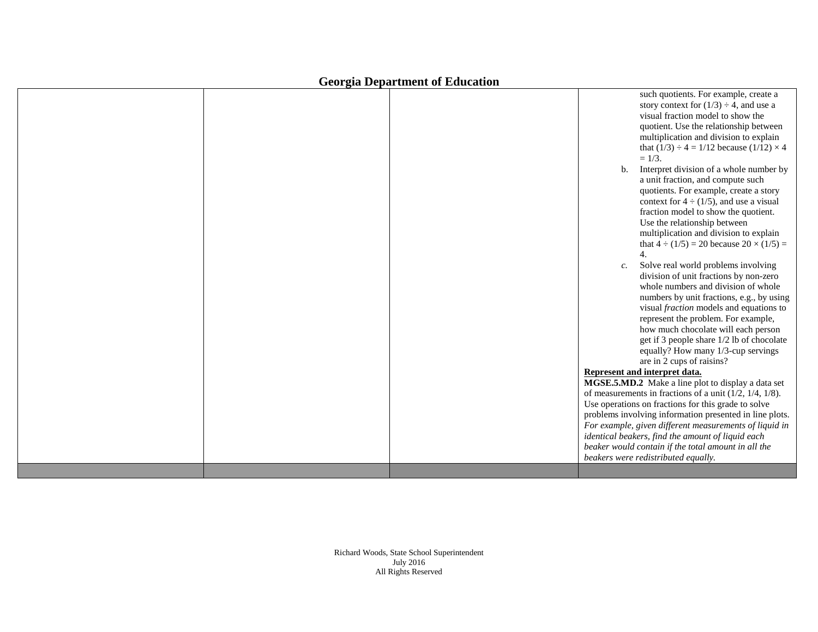|  | ocorgia Department or Luucation |                                                                                                                                                                                                                                                                                                                                                                                                                                                                                                                                                                                                                                                                                                                                                                                                                                                                                                                                                                                                                                                                                                                                                                                                                                                                                                                                                                                                                                                                                                                             |
|--|---------------------------------|-----------------------------------------------------------------------------------------------------------------------------------------------------------------------------------------------------------------------------------------------------------------------------------------------------------------------------------------------------------------------------------------------------------------------------------------------------------------------------------------------------------------------------------------------------------------------------------------------------------------------------------------------------------------------------------------------------------------------------------------------------------------------------------------------------------------------------------------------------------------------------------------------------------------------------------------------------------------------------------------------------------------------------------------------------------------------------------------------------------------------------------------------------------------------------------------------------------------------------------------------------------------------------------------------------------------------------------------------------------------------------------------------------------------------------------------------------------------------------------------------------------------------------|
|  |                                 | such quotients. For example, create a<br>story context for $(1/3) \div 4$ , and use a<br>visual fraction model to show the<br>quotient. Use the relationship between<br>multiplication and division to explain<br>that $(1/3) \div 4 = 1/12$ because $(1/12) \times 4$<br>$= 1/3.$<br>Interpret division of a whole number by<br>b.<br>a unit fraction, and compute such<br>quotients. For example, create a story<br>context for $4 \div (1/5)$ , and use a visual<br>fraction model to show the quotient.<br>Use the relationship between<br>multiplication and division to explain<br>that $4 \div (1/5) = 20$ because $20 \times (1/5) =$<br>4.<br>Solve real world problems involving<br>c.<br>division of unit fractions by non-zero<br>whole numbers and division of whole<br>numbers by unit fractions, e.g., by using<br>visual <i>fraction</i> models and equations to<br>represent the problem. For example,<br>how much chocolate will each person<br>get if 3 people share 1/2 lb of chocolate<br>equally? How many 1/3-cup servings<br>are in 2 cups of raisins?<br>Represent and interpret data.<br>MGSE.5.MD.2 Make a line plot to display a data set<br>of measurements in fractions of a unit $(1/2, 1/4, 1/8)$ .<br>Use operations on fractions for this grade to solve<br>problems involving information presented in line plots.<br>For example, given different measurements of liquid in<br>identical beakers, find the amount of liquid each<br>beaker would contain if the total amount in all the |
|  |                                 |                                                                                                                                                                                                                                                                                                                                                                                                                                                                                                                                                                                                                                                                                                                                                                                                                                                                                                                                                                                                                                                                                                                                                                                                                                                                                                                                                                                                                                                                                                                             |
|  |                                 | beakers were redistributed equally.                                                                                                                                                                                                                                                                                                                                                                                                                                                                                                                                                                                                                                                                                                                                                                                                                                                                                                                                                                                                                                                                                                                                                                                                                                                                                                                                                                                                                                                                                         |
|  |                                 |                                                                                                                                                                                                                                                                                                                                                                                                                                                                                                                                                                                                                                                                                                                                                                                                                                                                                                                                                                                                                                                                                                                                                                                                                                                                                                                                                                                                                                                                                                                             |

Richard Woods, State School Superintendent July 2016 All Rights Reserved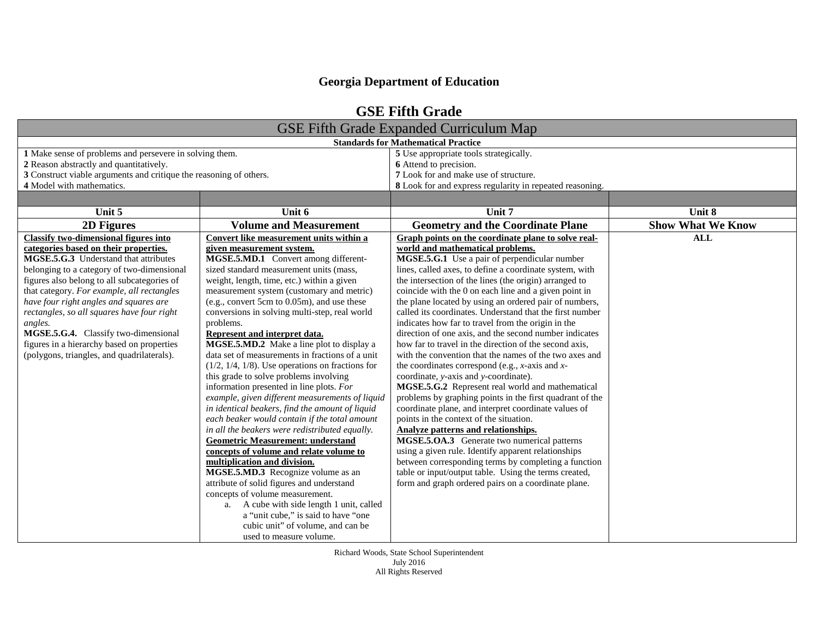| <b>GSE Fifth Grade</b>                                             |                                                     |                                                          |                          |  |
|--------------------------------------------------------------------|-----------------------------------------------------|----------------------------------------------------------|--------------------------|--|
| <b>GSE Fifth Grade Expanded Curriculum Map</b>                     |                                                     |                                                          |                          |  |
| <b>Standards for Mathematical Practice</b>                         |                                                     |                                                          |                          |  |
| 1 Make sense of problems and persevere in solving them.            |                                                     | 5 Use appropriate tools strategically.                   |                          |  |
| 2 Reason abstractly and quantitatively.                            |                                                     | 6 Attend to precision.                                   |                          |  |
| 3 Construct viable arguments and critique the reasoning of others. |                                                     | 7 Look for and make use of structure.                    |                          |  |
| 4 Model with mathematics.                                          |                                                     | 8 Look for and express regularity in repeated reasoning. |                          |  |
|                                                                    |                                                     |                                                          |                          |  |
| Unit 5                                                             | Unit 6                                              | Unit 7                                                   | Unit 8                   |  |
| 2D Figures                                                         | <b>Volume and Measurement</b>                       | <b>Geometry and the Coordinate Plane</b>                 | <b>Show What We Know</b> |  |
| <b>Classify two-dimensional figures into</b>                       | Convert like measurement units within a             | Graph points on the coordinate plane to solve real-      | <b>ALL</b>               |  |
| categories based on their properties.                              | given measurement system.                           | world and mathematical problems.                         |                          |  |
| MGSE.5.G.3 Understand that attributes                              | MGSE.5.MD.1 Convert among different-                | MGSE.5.G.1 Use a pair of perpendicular number            |                          |  |
| belonging to a category of two-dimensional                         | sized standard measurement units (mass,             | lines, called axes, to define a coordinate system, with  |                          |  |
| figures also belong to all subcategories of                        | weight, length, time, etc.) within a given          | the intersection of the lines (the origin) arranged to   |                          |  |
| that category. For example, all rectangles                         | measurement system (customary and metric)           | coincide with the 0 on each line and a given point in    |                          |  |
| have four right angles and squares are                             | (e.g., convert 5cm to 0.05m), and use these         | the plane located by using an ordered pair of numbers,   |                          |  |
| rectangles, so all squares have four right                         | conversions in solving multi-step, real world       | called its coordinates. Understand that the first number |                          |  |
| angles.                                                            | problems.                                           | indicates how far to travel from the origin in the       |                          |  |
| MGSE.5.G.4. Classify two-dimensional                               | Represent and interpret data.                       | direction of one axis, and the second number indicates   |                          |  |
| figures in a hierarchy based on properties                         | MGSE.5.MD.2 Make a line plot to display a           | how far to travel in the direction of the second axis,   |                          |  |
| (polygons, triangles, and quadrilaterals).                         | data set of measurements in fractions of a unit     | with the convention that the names of the two axes and   |                          |  |
|                                                                    | $(1/2, 1/4, 1/8)$ . Use operations on fractions for | the coordinates correspond (e.g., $x$ -axis and $x$ -    |                          |  |
|                                                                    | this grade to solve problems involving              | coordinate, y-axis and y-coordinate).                    |                          |  |
|                                                                    | information presented in line plots. For            | MGSE.5.G.2 Represent real world and mathematical         |                          |  |
|                                                                    | example, given different measurements of liquid     | problems by graphing points in the first quadrant of the |                          |  |
|                                                                    | in identical beakers, find the amount of liquid     | coordinate plane, and interpret coordinate values of     |                          |  |
|                                                                    | each beaker would contain if the total amount       | points in the context of the situation.                  |                          |  |
|                                                                    | in all the beakers were redistributed equally.      | <b>Analyze patterns and relationships.</b>               |                          |  |
|                                                                    | <b>Geometric Measurement: understand</b>            | MGSE.5.OA.3 Generate two numerical patterns              |                          |  |
|                                                                    | concepts of volume and relate volume to             | using a given rule. Identify apparent relationships      |                          |  |
|                                                                    | multiplication and division.                        | between corresponding terms by completing a function     |                          |  |
|                                                                    | MGSE.5.MD.3 Recognize volume as an                  | table or input/output table. Using the terms created,    |                          |  |
|                                                                    | attribute of solid figures and understand           | form and graph ordered pairs on a coordinate plane.      |                          |  |
|                                                                    | concepts of volume measurement.                     |                                                          |                          |  |
|                                                                    | A cube with side length 1 unit, called<br>a.        |                                                          |                          |  |
|                                                                    | a "unit cube," is said to have "one                 |                                                          |                          |  |
|                                                                    | cubic unit" of volume, and can be                   |                                                          |                          |  |
|                                                                    | used to measure volume.                             |                                                          |                          |  |